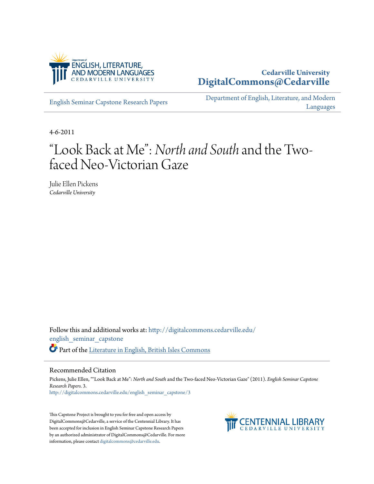

# **Cedarville University [DigitalCommons@Cedarville](http://digitalcommons.cedarville.edu?utm_source=digitalcommons.cedarville.edu%2Fenglish_seminar_capstone%2F3&utm_medium=PDF&utm_campaign=PDFCoverPages)**

[English Seminar Capstone Research Papers](http://digitalcommons.cedarville.edu/english_seminar_capstone?utm_source=digitalcommons.cedarville.edu%2Fenglish_seminar_capstone%2F3&utm_medium=PDF&utm_campaign=PDFCoverPages)

[Department of English, Literature, and Modern](http://digitalcommons.cedarville.edu/english_literature_modern_languages?utm_source=digitalcommons.cedarville.edu%2Fenglish_seminar_capstone%2F3&utm_medium=PDF&utm_campaign=PDFCoverPages) [Languages](http://digitalcommons.cedarville.edu/english_literature_modern_languages?utm_source=digitalcommons.cedarville.edu%2Fenglish_seminar_capstone%2F3&utm_medium=PDF&utm_campaign=PDFCoverPages)

4-6-2011

# "Look Back at Me":*North and South* and the Twofaced Neo-Victorian Gaze

Julie Ellen Pickens *Cedarville University*

Follow this and additional works at: [http://digitalcommons.cedarville.edu/](http://digitalcommons.cedarville.edu/english_seminar_capstone?utm_source=digitalcommons.cedarville.edu%2Fenglish_seminar_capstone%2F3&utm_medium=PDF&utm_campaign=PDFCoverPages) [english\\_seminar\\_capstone](http://digitalcommons.cedarville.edu/english_seminar_capstone?utm_source=digitalcommons.cedarville.edu%2Fenglish_seminar_capstone%2F3&utm_medium=PDF&utm_campaign=PDFCoverPages) Part of the [Literature in English, British Isles Commons](http://network.bepress.com/hgg/discipline/456?utm_source=digitalcommons.cedarville.edu%2Fenglish_seminar_capstone%2F3&utm_medium=PDF&utm_campaign=PDFCoverPages)

### Recommended Citation

Pickens, Julie Ellen, ""Look Back at Me": *North and South* and the Two-faced Neo-Victorian Gaze" (2011). *English Seminar Capstone Research Papers*. 3. [http://digitalcommons.cedarville.edu/english\\_seminar\\_capstone/3](http://digitalcommons.cedarville.edu/english_seminar_capstone/3?utm_source=digitalcommons.cedarville.edu%2Fenglish_seminar_capstone%2F3&utm_medium=PDF&utm_campaign=PDFCoverPages)

This Capstone Project is brought to you for free and open access by DigitalCommons@Cedarville, a service of the Centennial Library. It has been accepted for inclusion in English Seminar Capstone Research Papers by an authorized administrator of DigitalCommons@Cedarville. For more information, please contact [digitalcommons@cedarville.edu.](mailto:digitalcommons@cedarville.edu)

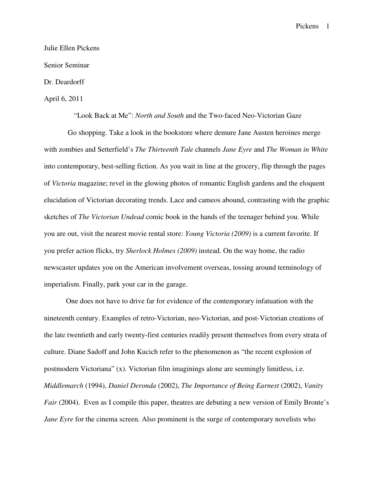#### Julie Ellen Pickens

Senior Seminar

## Dr. Deardorff

# April 6, 2011

"Look Back at Me": *North and South* and the Two-faced Neo-Victorian Gaze

 Go shopping. Take a look in the bookstore where demure Jane Austen heroines merge with zombies and Setterfield's *The Thirteenth Tale* channels *Jane Eyre* and *The Woman in White* into contemporary, best-selling fiction. As you wait in line at the grocery, flip through the pages of *Victoria* magazine; revel in the glowing photos of romantic English gardens and the eloquent elucidation of Victorian decorating trends. Lace and cameos abound, contrasting with the graphic sketches of *The Victorian Undead* comic book in the hands of the teenager behind you. While you are out, visit the nearest movie rental store: *Young Victoria (2009)* is a current favorite. If you prefer action flicks, try *Sherlock Holmes (2009)* instead. On the way home, the radio newscaster updates you on the American involvement overseas, tossing around terminology of imperialism. Finally, park your car in the garage.

 One does not have to drive far for evidence of the contemporary infatuation with the nineteenth century. Examples of retro-Victorian, neo-Victorian, and post-Victorian creations of the late twentieth and early twenty-first centuries readily present themselves from every strata of culture. Diane Sadoff and John Kucich refer to the phenomenon as "the recent explosion of postmodern Victoriana" (x). Victorian film imaginings alone are seemingly limitless, i.e. *Middlemarch* (1994), *Daniel Deronda* (2002), *The Importance of Being Earnest* (2002), *Vanity Fair* (2004). Even as I compile this paper, theatres are debuting a new version of Emily Bronte's *Jane Eyre* for the cinema screen. Also prominent is the surge of contemporary novelists who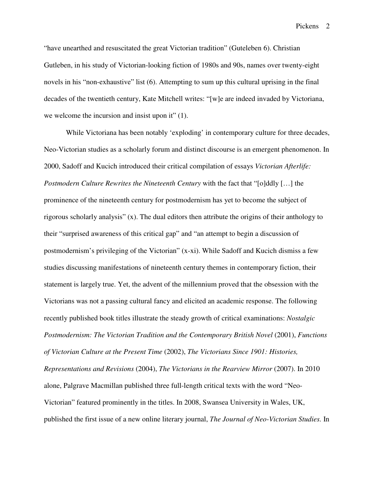"have unearthed and resuscitated the great Victorian tradition" (Guteleben 6). Christian Gutleben, in his study of Victorian-looking fiction of 1980s and 90s, names over twenty-eight novels in his "non-exhaustive" list (6). Attempting to sum up this cultural uprising in the final decades of the twentieth century, Kate Mitchell writes: "[w]e are indeed invaded by Victoriana, we welcome the incursion and insist upon it" (1).

 While Victoriana has been notably 'exploding' in contemporary culture for three decades, Neo-Victorian studies as a scholarly forum and distinct discourse is an emergent phenomenon. In 2000, Sadoff and Kucich introduced their critical compilation of essays *Victorian Afterlife: Postmodern Culture Rewrites the Nineteenth Century* with the fact that "[o]ddly […] the prominence of the nineteenth century for postmodernism has yet to become the subject of rigorous scholarly analysis" (x). The dual editors then attribute the origins of their anthology to their "surprised awareness of this critical gap" and "an attempt to begin a discussion of postmodernism's privileging of the Victorian" (x-xi). While Sadoff and Kucich dismiss a few studies discussing manifestations of nineteenth century themes in contemporary fiction, their statement is largely true. Yet, the advent of the millennium proved that the obsession with the Victorians was not a passing cultural fancy and elicited an academic response. The following recently published book titles illustrate the steady growth of critical examinations: *Nostalgic Postmodernism: The Victorian Tradition and the Contemporary British Novel* (2001), *Functions of Victorian Culture at the Present Time* (2002), *The Victorians Since 1901: Histories, Representations and Revisions* (2004), *The Victorians in the Rearview Mirror* (2007). In 2010 alone, Palgrave Macmillan published three full-length critical texts with the word "Neo-Victorian" featured prominently in the titles. In 2008, Swansea University in Wales, UK, published the first issue of a new online literary journal, *The Journal of Neo-Victorian Studies.* In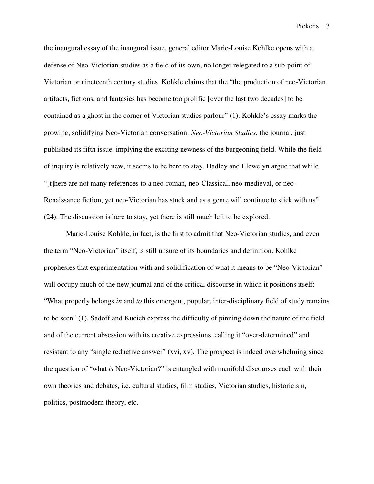the inaugural essay of the inaugural issue, general editor Marie-Louise Kohlke opens with a defense of Neo-Victorian studies as a field of its own, no longer relegated to a sub-point of Victorian or nineteenth century studies. Kohkle claims that the "the production of neo-Victorian artifacts, fictions, and fantasies has become too prolific [over the last two decades] to be contained as a ghost in the corner of Victorian studies parlour" (1). Kohkle's essay marks the growing, solidifying Neo-Victorian conversation. *Neo-Victorian Studies*, the journal, just published its fifth issue, implying the exciting newness of the burgeoning field. While the field of inquiry is relatively new, it seems to be here to stay. Hadley and Llewelyn argue that while "[t]here are not many references to a neo-roman, neo-Classical, neo-medieval, or neo-Renaissance fiction, yet neo-Victorian has stuck and as a genre will continue to stick with us" (24). The discussion is here to stay, yet there is still much left to be explored.

 Marie-Louise Kohkle, in fact, is the first to admit that Neo-Victorian studies, and even the term "Neo-Victorian" itself, is still unsure of its boundaries and definition. Kohlke prophesies that experimentation with and solidification of what it means to be "Neo-Victorian" will occupy much of the new journal and of the critical discourse in which it positions itself: "What properly belongs *in* and *to* this emergent, popular, inter-disciplinary field of study remains to be seen" (1). Sadoff and Kucich express the difficulty of pinning down the nature of the field and of the current obsession with its creative expressions, calling it "over-determined" and resistant to any "single reductive answer" (xvi, xv). The prospect is indeed overwhelming since the question of "what *is* Neo-Victorian?" is entangled with manifold discourses each with their own theories and debates, i.e. cultural studies, film studies, Victorian studies, historicism, politics, postmodern theory, etc.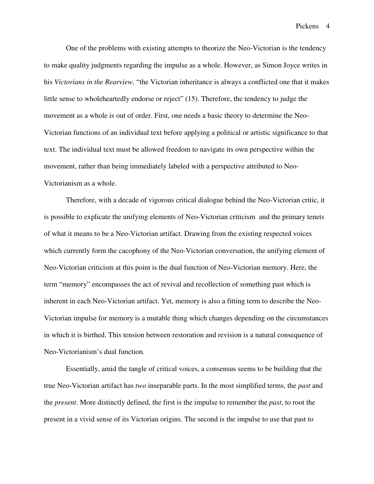One of the problems with existing attempts to theorize the Neo-Victorian is the tendency to make quality judgments regarding the impulse as a whole. However, as Simon Joyce writes in his *Victorians in the Rearview,* "the Victorian inheritance is always a conflicted one that it makes little sense to wholeheartedly endorse or reject" (15). Therefore, the tendency to judge the movement as a whole is out of order. First, one needs a basic theory to determine the Neo-Victorian functions of an individual text before applying a political or artistic significance to that text. The individual text must be allowed freedom to navigate its own perspective within the movement, rather than being immediately labeled with a perspective attributed to Neo-Victorianism as a whole.

 Therefore, with a decade of vigorous critical dialogue behind the Neo-Victorian critic, it is possible to explicate the unifying elements of Neo-Victorian criticism and the primary tenets of what it means to be a Neo-Victorian artifact. Drawing from the existing respected voices which currently form the cacophony of the Neo-Victorian conversation, the unifying element of Neo-Victorian criticism at this point is the dual function of Neo-Victorian memory. Here, the term "memory" encompasses the act of revival and recollection of something past which is inherent in each Neo-Victorian artifact. Yet, memory is also a fitting term to describe the Neo-Victorian impulse for memory is a mutable thing which changes depending on the circumstances in which it is birthed. This tension between restoration and revision is a natural consequence of Neo-Victorianism's dual function.

 Essentially, amid the tangle of critical voices, a consensus seems to be building that the true Neo-Victorian artifact has *two* inseparable parts. In the most simplified terms, the *past* and the *present*. More distinctly defined, the first is the impulse to remember the *past*, to root the present in a vivid sense of its Victorian origins. The second is the impulse to use that past to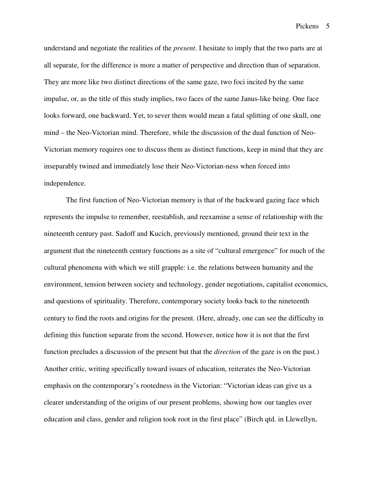understand and negotiate the realities of the *present*. I hesitate to imply that the two parts are at all separate, for the difference is more a matter of perspective and direction than of separation. They are more like two distinct directions of the same gaze, two foci incited by the same impulse, or, as the title of this study implies, two faces of the same Janus-like being. One face looks forward, one backward. Yet, to sever them would mean a fatal splitting of one skull, one mind – the Neo-Victorian mind. Therefore, while the discussion of the dual function of Neo-Victorian memory requires one to discuss them as distinct functions, keep in mind that they are inseparably twined and immediately lose their Neo-Victorian-ness when forced into independence.

 The first function of Neo-Victorian memory is that of the backward gazing face which represents the impulse to remember, reestablish, and reexamine a sense of relationship with the nineteenth century past. Sadoff and Kucich, previously mentioned, ground their text in the argument that the nineteenth century functions as a site of "cultural emergence" for much of the cultural phenomena with which we still grapple: i.e. the relations between humanity and the environment, tension between society and technology, gender negotiations, capitalist economics, and questions of spirituality. Therefore, contemporary society looks back to the nineteenth century to find the roots and origins for the present. (Here, already, one can see the difficulty in defining this function separate from the second. However, notice how it is not that the first function precludes a discussion of the present but that the *direction* of the gaze is on the past.) Another critic, writing specifically toward issues of education, reiterates the Neo-Victorian emphasis on the contemporary's rootedness in the Victorian: "Victorian ideas can give us a clearer understanding of the origins of our present problems, showing how our tangles over education and class, gender and religion took root in the first place" (Birch qtd. in Llewellyn,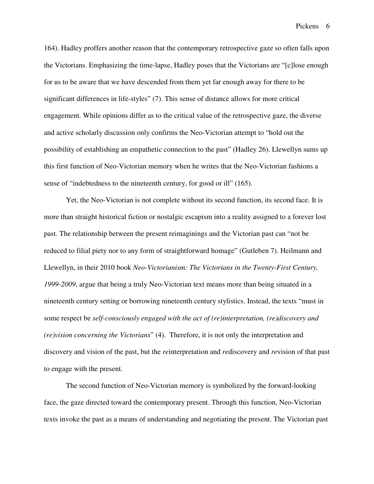164). Hadley proffers another reason that the contemporary retrospective gaze so often falls upon the Victorians. Emphasizing the time-lapse, Hadley poses that the Victorians are "[c]lose enough for us to be aware that we have descended from them yet far enough away for there to be significant differences in life-styles" (7). This sense of distance allows for more critical engagement. While opinions differ as to the critical value of the retrospective gaze, the diverse and active scholarly discussion only confirms the Neo-Victorian attempt to "hold out the possibility of establishing an empathetic connection to the past" (Hadley 26). Llewellyn sums up this first function of Neo-Victorian memory when he writes that the Neo-Victorian fashions a sense of "indebtedness to the nineteenth century, for good or ill" (165).

 Yet, the Neo-Victorian is not complete without its second function, its second face. It is more than straight historical fiction or nostalgic escapism into a reality assigned to a forever lost past. The relationship between the present reimaginings and the Victorian past can "not be reduced to filial piety nor to any form of straightforward homage" (Gutleben 7). Heilmann and Llewellyn, in their 2010 book *Neo-Victorianism: The Victorians in the Twenty-First Century, 1999-2009*, argue that being a truly Neo-Victorian text means more than being situated in a nineteenth century setting or borrowing nineteenth century stylistics. Instead, the texts "must in some respect be *self-consciously engaged with the act of (re)interpretation, (re)discovery and (re)vision concerning the Victorians*" (4). Therefore, it is not only the interpretation and discovery and vision of the past, but the *re*interpretation and *re*discovery and *re*vision of that past to engage with the present.

 The second function of Neo-Victorian memory is symbolized by the forward-looking face, the gaze directed toward the contemporary present. Through this function, Neo-Victorian texts invoke the past as a means of understanding and negotiating the present. The Victorian past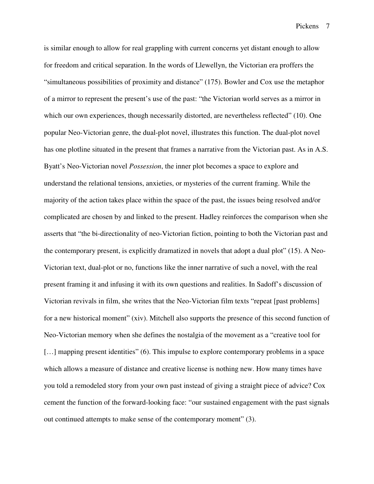is similar enough to allow for real grappling with current concerns yet distant enough to allow for freedom and critical separation. In the words of Llewellyn, the Victorian era proffers the "simultaneous possibilities of proximity and distance" (175). Bowler and Cox use the metaphor of a mirror to represent the present's use of the past: "the Victorian world serves as a mirror in which our own experiences, though necessarily distorted, are nevertheless reflected" (10). One popular Neo-Victorian genre, the dual-plot novel, illustrates this function. The dual-plot novel has one plotline situated in the present that frames a narrative from the Victorian past. As in A.S. Byatt's Neo-Victorian novel *Possession*, the inner plot becomes a space to explore and understand the relational tensions, anxieties, or mysteries of the current framing. While the majority of the action takes place within the space of the past, the issues being resolved and/or complicated are chosen by and linked to the present. Hadley reinforces the comparison when she asserts that "the bi-directionality of neo-Victorian fiction, pointing to both the Victorian past and the contemporary present, is explicitly dramatized in novels that adopt a dual plot" (15). A Neo-Victorian text, dual-plot or no, functions like the inner narrative of such a novel, with the real present framing it and infusing it with its own questions and realities. In Sadoff's discussion of Victorian revivals in film, she writes that the Neo-Victorian film texts "repeat [past problems] for a new historical moment" (xiv). Mitchell also supports the presence of this second function of Neo-Victorian memory when she defines the nostalgia of the movement as a "creative tool for [...] mapping present identities" (6). This impulse to explore contemporary problems in a space which allows a measure of distance and creative license is nothing new. How many times have you told a remodeled story from your own past instead of giving a straight piece of advice? Cox cement the function of the forward-looking face: "our sustained engagement with the past signals out continued attempts to make sense of the contemporary moment" (3).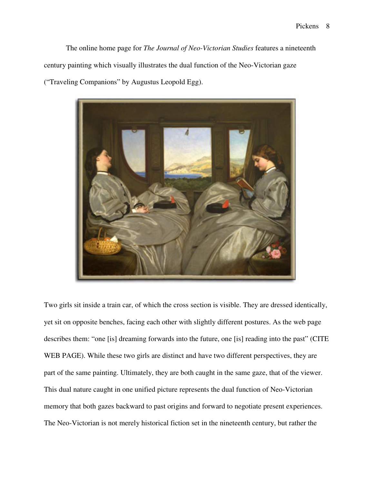The online home page for *The Journal of Neo-Victorian Studies* features a nineteenth century painting which visually illustrates the dual function of the Neo-Victorian gaze ("Traveling Companions" by Augustus Leopold Egg).



Two girls sit inside a train car, of which the cross section is visible. They are dressed identically, yet sit on opposite benches, facing each other with slightly different postures. As the web page describes them: "one [is] dreaming forwards into the future, one [is] reading into the past" (CITE WEB PAGE). While these two girls are distinct and have two different perspectives, they are part of the same painting. Ultimately, they are both caught in the same gaze, that of the viewer. This dual nature caught in one unified picture represents the dual function of Neo-Victorian memory that both gazes backward to past origins and forward to negotiate present experiences. The Neo-Victorian is not merely historical fiction set in the nineteenth century, but rather the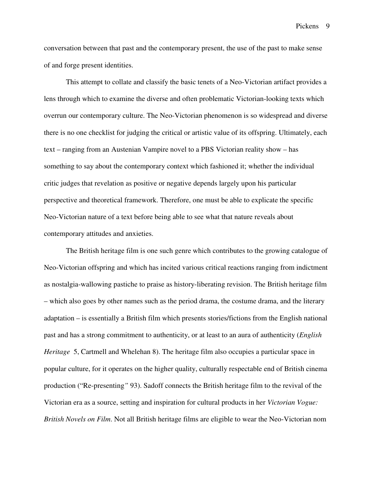conversation between that past and the contemporary present, the use of the past to make sense of and forge present identities.

 This attempt to collate and classify the basic tenets of a Neo-Victorian artifact provides a lens through which to examine the diverse and often problematic Victorian-looking texts which overrun our contemporary culture. The Neo-Victorian phenomenon is so widespread and diverse there is no one checklist for judging the critical or artistic value of its offspring. Ultimately, each text – ranging from an Austenian Vampire novel to a PBS Victorian reality show – has something to say about the contemporary context which fashioned it; whether the individual critic judges that revelation as positive or negative depends largely upon his particular perspective and theoretical framework. Therefore, one must be able to explicate the specific Neo-Victorian nature of a text before being able to see what that nature reveals about contemporary attitudes and anxieties.

The British heritage film is one such genre which contributes to the growing catalogue of Neo-Victorian offspring and which has incited various critical reactions ranging from indictment as nostalgia-wallowing pastiche to praise as history-liberating revision. The British heritage film – which also goes by other names such as the period drama, the costume drama, and the literary adaptation – is essentially a British film which presents stories/fictions from the English national past and has a strong commitment to authenticity, or at least to an aura of authenticity (*English Heritage* 5, Cartmell and Whelehan 8). The heritage film also occupies a particular space in popular culture, for it operates on the higher quality, culturally respectable end of British cinema production ("Re-presenting*"* 93). Sadoff connects the British heritage film to the revival of the Victorian era as a source, setting and inspiration for cultural products in her *Victorian Vogue: British Novels on Film*. Not all British heritage films are eligible to wear the Neo-Victorian nom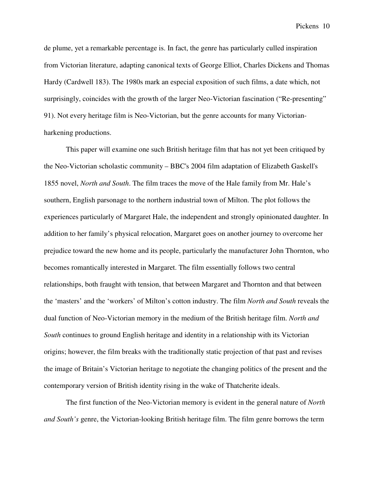de plume, yet a remarkable percentage is. In fact, the genre has particularly culled inspiration from Victorian literature, adapting canonical texts of George Elliot, Charles Dickens and Thomas Hardy (Cardwell 183). The 1980s mark an especial exposition of such films, a date which, not surprisingly, coincides with the growth of the larger Neo-Victorian fascination ("Re-presenting" 91). Not every heritage film is Neo-Victorian, but the genre accounts for many Victorianharkening productions.

 This paper will examine one such British heritage film that has not yet been critiqued by the Neo-Victorian scholastic community – BBC's 2004 film adaptation of Elizabeth Gaskell's 1855 novel, *North and South*. The film traces the move of the Hale family from Mr. Hale's southern, English parsonage to the northern industrial town of Milton. The plot follows the experiences particularly of Margaret Hale, the independent and strongly opinionated daughter. In addition to her family's physical relocation, Margaret goes on another journey to overcome her prejudice toward the new home and its people, particularly the manufacturer John Thornton, who becomes romantically interested in Margaret. The film essentially follows two central relationships, both fraught with tension, that between Margaret and Thornton and that between the 'masters' and the 'workers' of Milton's cotton industry. The film *North and South* reveals the dual function of Neo-Victorian memory in the medium of the British heritage film. *North and South* continues to ground English heritage and identity in a relationship with its Victorian origins; however, the film breaks with the traditionally static projection of that past and revises the image of Britain's Victorian heritage to negotiate the changing politics of the present and the contemporary version of British identity rising in the wake of Thatcherite ideals.

 The first function of the Neo-Victorian memory is evident in the general nature of *North and South's* genre, the Victorian-looking British heritage film. The film genre borrows the term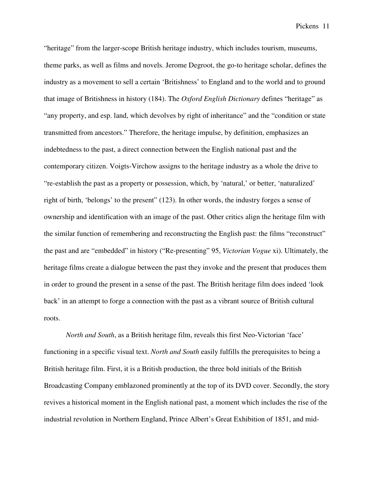"heritage" from the larger-scope British heritage industry, which includes tourism, museums, theme parks, as well as films and novels. Jerome Degroot, the go-to heritage scholar, defines the industry as a movement to sell a certain 'Britishness' to England and to the world and to ground that image of Britishness in history (184). The *Oxford English Dictionary* defines "heritage" as "any property, and esp. land, which devolves by right of inheritance" and the "condition or state transmitted from ancestors." Therefore, the heritage impulse, by definition, emphasizes an indebtedness to the past, a direct connection between the English national past and the contemporary citizen. Voigts-Virchow assigns to the heritage industry as a whole the drive to "re-establish the past as a property or possession, which, by 'natural,' or better, 'naturalized' right of birth, 'belongs' to the present" (123). In other words, the industry forges a sense of ownership and identification with an image of the past. Other critics align the heritage film with the similar function of remembering and reconstructing the English past: the films "reconstruct" the past and are "embedded" in history ("Re-presenting" 95, *Victorian Vogue* xi). Ultimately, the heritage films create a dialogue between the past they invoke and the present that produces them in order to ground the present in a sense of the past. The British heritage film does indeed 'look back' in an attempt to forge a connection with the past as a vibrant source of British cultural roots.

*North and South*, as a British heritage film, reveals this first Neo-Victorian 'face' functioning in a specific visual text. *North and South* easily fulfills the prerequisites to being a British heritage film. First, it is a British production, the three bold initials of the British Broadcasting Company emblazoned prominently at the top of its DVD cover. Secondly, the story revives a historical moment in the English national past, a moment which includes the rise of the industrial revolution in Northern England, Prince Albert's Great Exhibition of 1851, and mid-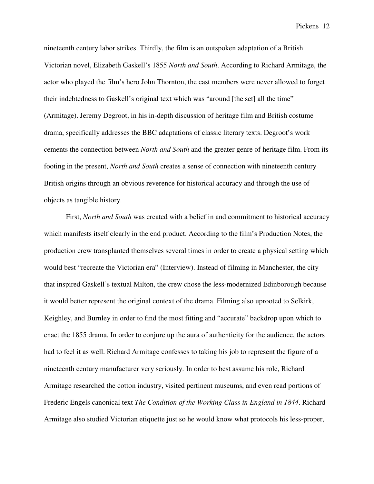nineteenth century labor strikes. Thirdly, the film is an outspoken adaptation of a British Victorian novel, Elizabeth Gaskell's 1855 *North and South*. According to Richard Armitage, the actor who played the film's hero John Thornton, the cast members were never allowed to forget their indebtedness to Gaskell's original text which was "around [the set] all the time" (Armitage). Jeremy Degroot, in his in-depth discussion of heritage film and British costume drama, specifically addresses the BBC adaptations of classic literary texts. Degroot's work cements the connection between *North and South* and the greater genre of heritage film. From its footing in the present, *North and South* creates a sense of connection with nineteenth century British origins through an obvious reverence for historical accuracy and through the use of objects as tangible history.

 First, *North and South* was created with a belief in and commitment to historical accuracy which manifests itself clearly in the end product. According to the film's Production Notes, the production crew transplanted themselves several times in order to create a physical setting which would best "recreate the Victorian era" (Interview). Instead of filming in Manchester, the city that inspired Gaskell's textual Milton, the crew chose the less-modernized Edinborough because it would better represent the original context of the drama. Filming also uprooted to Selkirk, Keighley, and Burnley in order to find the most fitting and "accurate" backdrop upon which to enact the 1855 drama. In order to conjure up the aura of authenticity for the audience, the actors had to feel it as well. Richard Armitage confesses to taking his job to represent the figure of a nineteenth century manufacturer very seriously. In order to best assume his role, Richard Armitage researched the cotton industry, visited pertinent museums, and even read portions of Frederic Engels canonical text *The Condition of the Working Class in England in 1844*. Richard Armitage also studied Victorian etiquette just so he would know what protocols his less-proper,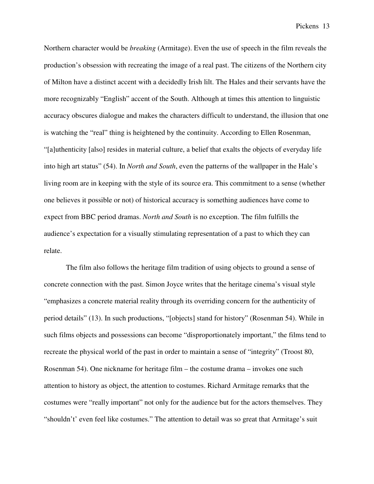Northern character would be *breaking* (Armitage). Even the use of speech in the film reveals the production's obsession with recreating the image of a real past. The citizens of the Northern city of Milton have a distinct accent with a decidedly Irish lilt. The Hales and their servants have the more recognizably "English" accent of the South. Although at times this attention to linguistic accuracy obscures dialogue and makes the characters difficult to understand, the illusion that one is watching the "real" thing is heightened by the continuity. According to Ellen Rosenman, "[a]uthenticity [also] resides in material culture, a belief that exalts the objects of everyday life into high art status" (54). In *North and South*, even the patterns of the wallpaper in the Hale's living room are in keeping with the style of its source era. This commitment to a sense (whether one believes it possible or not) of historical accuracy is something audiences have come to expect from BBC period dramas. *North and South* is no exception. The film fulfills the audience's expectation for a visually stimulating representation of a past to which they can relate.

 The film also follows the heritage film tradition of using objects to ground a sense of concrete connection with the past. Simon Joyce writes that the heritage cinema's visual style "emphasizes a concrete material reality through its overriding concern for the authenticity of period details" (13). In such productions, "[objects] stand for history" (Rosenman 54). While in such films objects and possessions can become "disproportionately important," the films tend to recreate the physical world of the past in order to maintain a sense of "integrity" (Troost 80, Rosenman 54). One nickname for heritage film – the costume drama – invokes one such attention to history as object, the attention to costumes. Richard Armitage remarks that the costumes were "really important" not only for the audience but for the actors themselves. They "shouldn't' even feel like costumes." The attention to detail was so great that Armitage's suit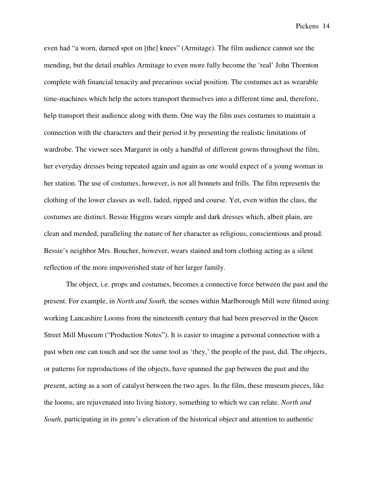even had "a worn, darned spot on [the] knees" (Armitage). The film audience cannot see the mending, but the detail enables Armitage to even more fully become the 'real' John Thornton complete with financial tenacity and precarious social position. The costumes act as wearable time-machines which help the actors transport themselves into a different time and, therefore, help transport their audience along with them. One way the film uses costumes to maintain a connection with the characters and their period it by presenting the realistic limitations of wardrobe. The viewer sees Margaret in only a handful of different gowns throughout the film, her everyday dresses being repeated again and again as one would expect of a young woman in her station. The use of costumes, however, is not all bonnets and frills. The film represents the clothing of the lower classes as well, faded, ripped and course. Yet, even within the class, the costumes are distinct. Bessie Higgins wears simple and dark dresses which, albeit plain, are clean and mended, paralleling the nature of her character as religious, conscientious and proud. Bessie's neighbor Mrs. Boucher, however, wears stained and torn clothing acting as a silent reflection of the more impoverished state of her larger family.

 The object, i.e. props and costumes, becomes a connective force between the past and the present. For example, in *North and South,* the scenes within Marlborough Mill were filmed using working Lancashire Looms from the nineteenth century that had been preserved in the Queen Street Mill Museum ("Production Notes"). It is easier to imagine a personal connection with a past when one can touch and see the same tool as 'they,' the people of the past, did. The objects, or patterns for reproductions of the objects, have spanned the gap between the past and the present, acting as a sort of catalyst between the two ages. In the film, these museum pieces, like the looms, are rejuvenated into living history, something to which we can relate. *North and South,* participating in its genre's elevation of the historical object and attention to authentic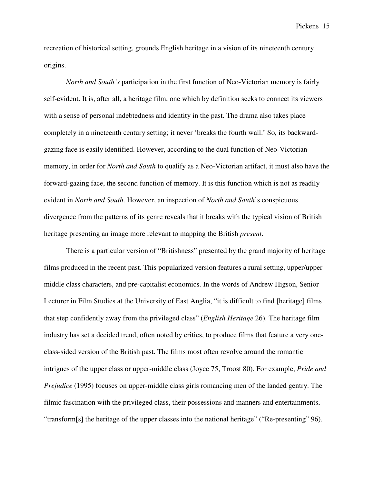recreation of historical setting, grounds English heritage in a vision of its nineteenth century origins.

*North and South's* participation in the first function of Neo-Victorian memory is fairly self-evident. It is, after all, a heritage film, one which by definition seeks to connect its viewers with a sense of personal indebtedness and identity in the past. The drama also takes place completely in a nineteenth century setting; it never 'breaks the fourth wall.' So, its backwardgazing face is easily identified. However, according to the dual function of Neo-Victorian memory, in order for *North and South* to qualify as a Neo-Victorian artifact, it must also have the forward-gazing face, the second function of memory. It is this function which is not as readily evident in *North and South*. However, an inspection of *North and South*'s conspicuous divergence from the patterns of its genre reveals that it breaks with the typical vision of British heritage presenting an image more relevant to mapping the British *present*.

 There is a particular version of "Britishness" presented by the grand majority of heritage films produced in the recent past. This popularized version features a rural setting, upper/upper middle class characters, and pre-capitalist economics. In the words of Andrew Higson, Senior Lecturer in Film Studies at the University of East Anglia, "it is difficult to find [heritage] films that step confidently away from the privileged class" (*English Heritage* 26). The heritage film industry has set a decided trend, often noted by critics, to produce films that feature a very oneclass-sided version of the British past. The films most often revolve around the romantic intrigues of the upper class or upper-middle class (Joyce 75, Troost 80). For example, *Pride and Prejudice* (1995) focuses on upper-middle class girls romancing men of the landed gentry. The filmic fascination with the privileged class, their possessions and manners and entertainments, "transform[s] the heritage of the upper classes into the national heritage" ("Re-presenting" 96).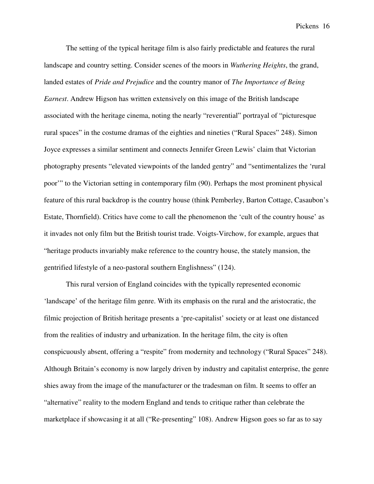The setting of the typical heritage film is also fairly predictable and features the rural landscape and country setting. Consider scenes of the moors in *Wuthering Heights*, the grand, landed estates of *Pride and Prejudice* and the country manor of *The Importance of Being Earnest*. Andrew Higson has written extensively on this image of the British landscape associated with the heritage cinema, noting the nearly "reverential" portrayal of "picturesque rural spaces" in the costume dramas of the eighties and nineties ("Rural Spaces" 248). Simon Joyce expresses a similar sentiment and connects Jennifer Green Lewis' claim that Victorian photography presents "elevated viewpoints of the landed gentry" and "sentimentalizes the 'rural poor'" to the Victorian setting in contemporary film (90). Perhaps the most prominent physical feature of this rural backdrop is the country house (think Pemberley, Barton Cottage, Casaubon's Estate, Thornfield). Critics have come to call the phenomenon the 'cult of the country house' as it invades not only film but the British tourist trade. Voigts-Virchow, for example, argues that "heritage products invariably make reference to the country house, the stately mansion, the gentrified lifestyle of a neo-pastoral southern Englishness" (124).

 This rural version of England coincides with the typically represented economic 'landscape' of the heritage film genre. With its emphasis on the rural and the aristocratic, the filmic projection of British heritage presents a 'pre-capitalist' society or at least one distanced from the realities of industry and urbanization. In the heritage film, the city is often conspicuously absent, offering a "respite" from modernity and technology ("Rural Spaces" 248). Although Britain's economy is now largely driven by industry and capitalist enterprise, the genre shies away from the image of the manufacturer or the tradesman on film. It seems to offer an "alternative" reality to the modern England and tends to critique rather than celebrate the marketplace if showcasing it at all ("Re-presenting" 108). Andrew Higson goes so far as to say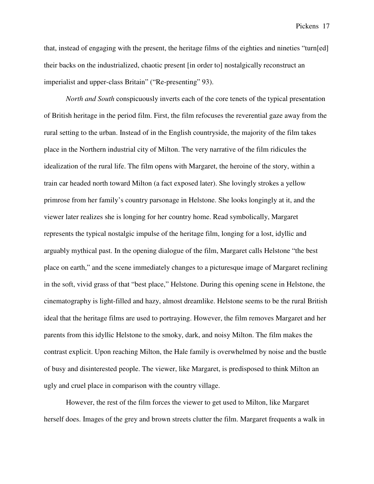that, instead of engaging with the present, the heritage films of the eighties and nineties "turn[ed] their backs on the industrialized, chaotic present [in order to] nostalgically reconstruct an imperialist and upper-class Britain" ("Re-presenting" 93).

*North and South* conspicuously inverts each of the core tenets of the typical presentation of British heritage in the period film. First, the film refocuses the reverential gaze away from the rural setting to the urban. Instead of in the English countryside, the majority of the film takes place in the Northern industrial city of Milton. The very narrative of the film ridicules the idealization of the rural life. The film opens with Margaret, the heroine of the story, within a train car headed north toward Milton (a fact exposed later). She lovingly strokes a yellow primrose from her family's country parsonage in Helstone. She looks longingly at it, and the viewer later realizes she is longing for her country home. Read symbolically, Margaret represents the typical nostalgic impulse of the heritage film, longing for a lost, idyllic and arguably mythical past. In the opening dialogue of the film, Margaret calls Helstone "the best place on earth," and the scene immediately changes to a picturesque image of Margaret reclining in the soft, vivid grass of that "best place," Helstone. During this opening scene in Helstone, the cinematography is light-filled and hazy, almost dreamlike. Helstone seems to be the rural British ideal that the heritage films are used to portraying. However, the film removes Margaret and her parents from this idyllic Helstone to the smoky, dark, and noisy Milton. The film makes the contrast explicit. Upon reaching Milton, the Hale family is overwhelmed by noise and the bustle of busy and disinterested people. The viewer, like Margaret, is predisposed to think Milton an ugly and cruel place in comparison with the country village.

 However, the rest of the film forces the viewer to get used to Milton, like Margaret herself does. Images of the grey and brown streets clutter the film. Margaret frequents a walk in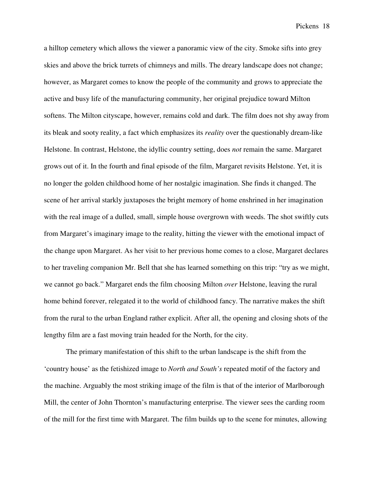a hilltop cemetery which allows the viewer a panoramic view of the city. Smoke sifts into grey skies and above the brick turrets of chimneys and mills. The dreary landscape does not change; however, as Margaret comes to know the people of the community and grows to appreciate the active and busy life of the manufacturing community, her original prejudice toward Milton softens. The Milton cityscape, however, remains cold and dark. The film does not shy away from its bleak and sooty reality, a fact which emphasizes its *reality* over the questionably dream-like Helstone. In contrast, Helstone, the idyllic country setting, does *not* remain the same. Margaret grows out of it. In the fourth and final episode of the film, Margaret revisits Helstone. Yet, it is no longer the golden childhood home of her nostalgic imagination. She finds it changed. The scene of her arrival starkly juxtaposes the bright memory of home enshrined in her imagination with the real image of a dulled, small, simple house overgrown with weeds. The shot swiftly cuts from Margaret's imaginary image to the reality, hitting the viewer with the emotional impact of the change upon Margaret. As her visit to her previous home comes to a close, Margaret declares to her traveling companion Mr. Bell that she has learned something on this trip: "try as we might, we cannot go back." Margaret ends the film choosing Milton *over* Helstone, leaving the rural home behind forever, relegated it to the world of childhood fancy. The narrative makes the shift from the rural to the urban England rather explicit. After all, the opening and closing shots of the lengthy film are a fast moving train headed for the North, for the city.

 The primary manifestation of this shift to the urban landscape is the shift from the 'country house' as the fetishized image to *North and South's* repeated motif of the factory and the machine. Arguably the most striking image of the film is that of the interior of Marlborough Mill, the center of John Thornton's manufacturing enterprise. The viewer sees the carding room of the mill for the first time with Margaret. The film builds up to the scene for minutes, allowing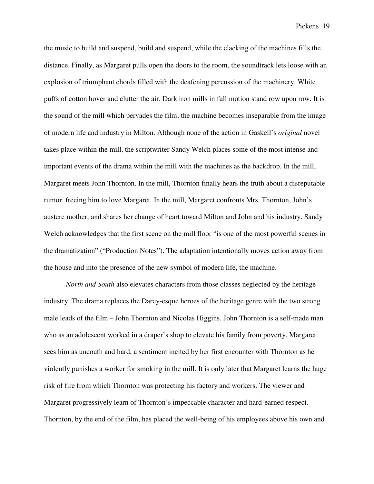the music to build and suspend, build and suspend, while the clacking of the machines fills the distance. Finally, as Margaret pulls open the doors to the room, the soundtrack lets loose with an explosion of triumphant chords filled with the deafening percussion of the machinery. White puffs of cotton hover and clutter the air. Dark iron mills in full motion stand row upon row. It is the sound of the mill which pervades the film; the machine becomes inseparable from the image of modern life and industry in Milton. Although none of the action in Gaskell's *original* novel takes place within the mill, the scriptwriter Sandy Welch places some of the most intense and important events of the drama within the mill with the machines as the backdrop. In the mill, Margaret meets John Thornton. In the mill, Thornton finally hears the truth about a disreputable rumor, freeing him to love Margaret. In the mill, Margaret confronts Mrs. Thornton, John's austere mother, and shares her change of heart toward Milton and John and his industry. Sandy Welch acknowledges that the first scene on the mill floor "is one of the most powerful scenes in the dramatization" ("Production Notes"). The adaptation intentionally moves action away from the house and into the presence of the new symbol of modern life, the machine.

*North and South* also elevates characters from those classes neglected by the heritage industry. The drama replaces the Darcy-esque heroes of the heritage genre with the two strong male leads of the film – John Thornton and Nicolas Higgins. John Thornton is a self-made man who as an adolescent worked in a draper's shop to elevate his family from poverty. Margaret sees him as uncouth and hard, a sentiment incited by her first encounter with Thornton as he violently punishes a worker for smoking in the mill. It is only later that Margaret learns the huge risk of fire from which Thornton was protecting his factory and workers. The viewer and Margaret progressively learn of Thornton's impeccable character and hard-earned respect. Thornton, by the end of the film, has placed the well-being of his employees above his own and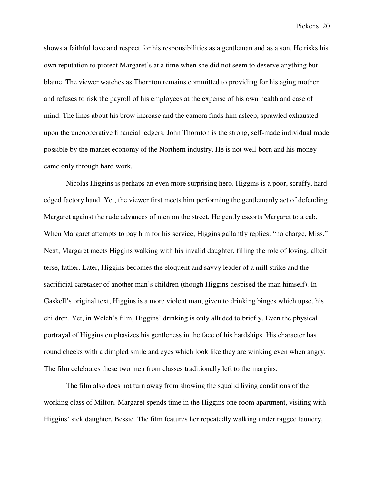shows a faithful love and respect for his responsibilities as a gentleman and as a son. He risks his own reputation to protect Margaret's at a time when she did not seem to deserve anything but blame. The viewer watches as Thornton remains committed to providing for his aging mother and refuses to risk the payroll of his employees at the expense of his own health and ease of mind. The lines about his brow increase and the camera finds him asleep, sprawled exhausted upon the uncooperative financial ledgers. John Thornton is the strong, self-made individual made possible by the market economy of the Northern industry. He is not well-born and his money came only through hard work.

 Nicolas Higgins is perhaps an even more surprising hero. Higgins is a poor, scruffy, hardedged factory hand. Yet, the viewer first meets him performing the gentlemanly act of defending Margaret against the rude advances of men on the street. He gently escorts Margaret to a cab. When Margaret attempts to pay him for his service, Higgins gallantly replies: "no charge, Miss." Next, Margaret meets Higgins walking with his invalid daughter, filling the role of loving, albeit terse, father. Later, Higgins becomes the eloquent and savvy leader of a mill strike and the sacrificial caretaker of another man's children (though Higgins despised the man himself). In Gaskell's original text, Higgins is a more violent man, given to drinking binges which upset his children. Yet, in Welch's film, Higgins' drinking is only alluded to briefly. Even the physical portrayal of Higgins emphasizes his gentleness in the face of his hardships. His character has round cheeks with a dimpled smile and eyes which look like they are winking even when angry. The film celebrates these two men from classes traditionally left to the margins.

 The film also does not turn away from showing the squalid living conditions of the working class of Milton. Margaret spends time in the Higgins one room apartment, visiting with Higgins' sick daughter, Bessie. The film features her repeatedly walking under ragged laundry,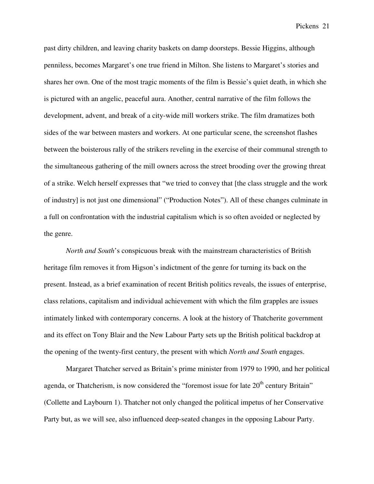past dirty children, and leaving charity baskets on damp doorsteps. Bessie Higgins, although penniless, becomes Margaret's one true friend in Milton. She listens to Margaret's stories and shares her own. One of the most tragic moments of the film is Bessie's quiet death, in which she is pictured with an angelic, peaceful aura. Another, central narrative of the film follows the development, advent, and break of a city-wide mill workers strike. The film dramatizes both sides of the war between masters and workers. At one particular scene, the screenshot flashes between the boisterous rally of the strikers reveling in the exercise of their communal strength to the simultaneous gathering of the mill owners across the street brooding over the growing threat of a strike. Welch herself expresses that "we tried to convey that [the class struggle and the work of industry] is not just one dimensional" ("Production Notes"). All of these changes culminate in a full on confrontation with the industrial capitalism which is so often avoided or neglected by the genre.

*North and South*'s conspicuous break with the mainstream characteristics of British heritage film removes it from Higson's indictment of the genre for turning its back on the present. Instead, as a brief examination of recent British politics reveals, the issues of enterprise, class relations, capitalism and individual achievement with which the film grapples are issues intimately linked with contemporary concerns. A look at the history of Thatcherite government and its effect on Tony Blair and the New Labour Party sets up the British political backdrop at the opening of the twenty-first century, the present with which *North and South* engages.

 Margaret Thatcher served as Britain's prime minister from 1979 to 1990, and her political agenda, or Thatcherism, is now considered the "foremost issue for late  $20<sup>th</sup>$  century Britain" (Collette and Laybourn 1). Thatcher not only changed the political impetus of her Conservative Party but, as we will see, also influenced deep-seated changes in the opposing Labour Party.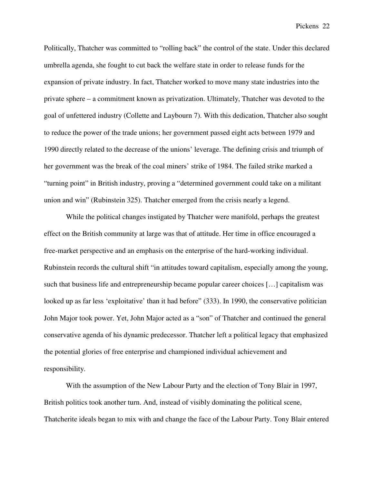Politically, Thatcher was committed to "rolling back" the control of the state. Under this declared umbrella agenda, she fought to cut back the welfare state in order to release funds for the expansion of private industry. In fact, Thatcher worked to move many state industries into the private sphere – a commitment known as privatization. Ultimately, Thatcher was devoted to the goal of unfettered industry (Collette and Laybourn 7). With this dedication, Thatcher also sought to reduce the power of the trade unions; her government passed eight acts between 1979 and 1990 directly related to the decrease of the unions' leverage. The defining crisis and triumph of her government was the break of the coal miners' strike of 1984. The failed strike marked a "turning point" in British industry, proving a "determined government could take on a militant union and win" (Rubinstein 325). Thatcher emerged from the crisis nearly a legend.

 While the political changes instigated by Thatcher were manifold, perhaps the greatest effect on the British community at large was that of attitude. Her time in office encouraged a free-market perspective and an emphasis on the enterprise of the hard-working individual. Rubinstein records the cultural shift "in attitudes toward capitalism, especially among the young, such that business life and entrepreneurship became popular career choices […] capitalism was looked up as far less 'exploitative' than it had before" (333). In 1990, the conservative politician John Major took power. Yet, John Major acted as a "son" of Thatcher and continued the general conservative agenda of his dynamic predecessor. Thatcher left a political legacy that emphasized the potential glories of free enterprise and championed individual achievement and responsibility.

 With the assumption of the New Labour Party and the election of Tony Blair in 1997, British politics took another turn. And, instead of visibly dominating the political scene, Thatcherite ideals began to mix with and change the face of the Labour Party. Tony Blair entered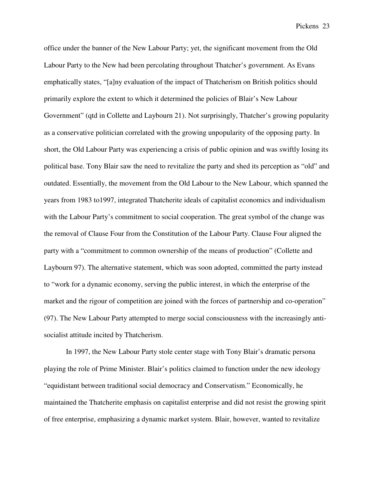office under the banner of the New Labour Party; yet, the significant movement from the Old Labour Party to the New had been percolating throughout Thatcher's government. As Evans emphatically states, "[a]ny evaluation of the impact of Thatcherism on British politics should primarily explore the extent to which it determined the policies of Blair's New Labour Government" (qtd in Collette and Laybourn 21). Not surprisingly, Thatcher's growing popularity as a conservative politician correlated with the growing unpopularity of the opposing party. In short, the Old Labour Party was experiencing a crisis of public opinion and was swiftly losing its political base. Tony Blair saw the need to revitalize the party and shed its perception as "old" and outdated. Essentially, the movement from the Old Labour to the New Labour, which spanned the years from 1983 to1997, integrated Thatcherite ideals of capitalist economics and individualism with the Labour Party's commitment to social cooperation. The great symbol of the change was the removal of Clause Four from the Constitution of the Labour Party. Clause Four aligned the party with a "commitment to common ownership of the means of production" (Collette and Laybourn 97). The alternative statement, which was soon adopted, committed the party instead to "work for a dynamic economy, serving the public interest, in which the enterprise of the market and the rigour of competition are joined with the forces of partnership and co-operation" (97). The New Labour Party attempted to merge social consciousness with the increasingly antisocialist attitude incited by Thatcherism.

 In 1997, the New Labour Party stole center stage with Tony Blair's dramatic persona playing the role of Prime Minister. Blair's politics claimed to function under the new ideology "equidistant between traditional social democracy and Conservatism." Economically, he maintained the Thatcherite emphasis on capitalist enterprise and did not resist the growing spirit of free enterprise, emphasizing a dynamic market system. Blair, however, wanted to revitalize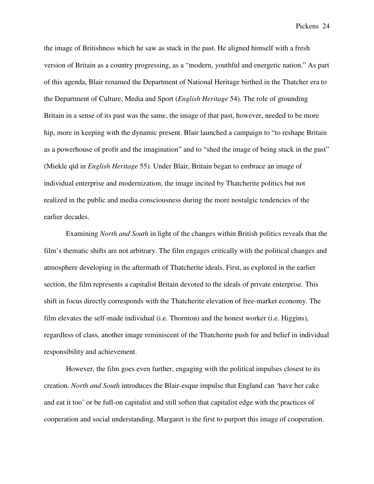the image of Britishness which he saw as stuck in the past. He aligned himself with a fresh version of Britain as a country progressing, as a "modern, youthful and energetic nation." As part of this agenda, Blair renamed the Department of National Heritage birthed in the Thatcher era to the Department of Culture, Media and Sport (*English Heritage* 54). The role of grounding Britain in a sense of its past was the same, the image of that past, however, needed to be more hip, more in keeping with the dynamic present. Blair launched a campaign to "to reshape Britain as a powerhouse of profit and the imagination" and to "shed the image of being stuck in the past" (Miekle qtd in *English Heritage* 55). Under Blair, Britain began to embrace an image of individual enterprise and modernization, the image incited by Thatcherite politics but not realized in the public and media consciousness during the more nostalgic tendencies of the earlier decades.

 Examining *North and South* in light of the changes within British politics reveals that the film's thematic shifts are not arbitrary. The film engages critically with the political changes and atmosphere developing in the aftermath of Thatcherite ideals. First, as explored in the earlier section, the film represents a capitalist Britain devoted to the ideals of private enterprise. This shift in focus directly corresponds with the Thatcherite elevation of free-market economy. The film elevates the self-made individual (i.e. Thornton) and the honest worker (i.e. Higgins), regardless of class, another image reminiscent of the Thatcherite push for and belief in individual responsibility and achievement.

 However, the film goes even further, engaging with the political impulses closest to its creation. *North and South* introduces the Blair-esque impulse that England can 'have her cake and eat it too' or be full-on capitalist and still soften that capitalist edge with the practices of cooperation and social understanding. Margaret is the first to purport this image of cooperation.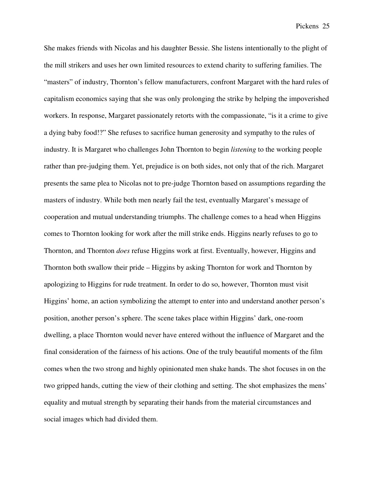She makes friends with Nicolas and his daughter Bessie. She listens intentionally to the plight of the mill strikers and uses her own limited resources to extend charity to suffering families. The "masters" of industry, Thornton's fellow manufacturers, confront Margaret with the hard rules of capitalism economics saying that she was only prolonging the strike by helping the impoverished workers. In response, Margaret passionately retorts with the compassionate, "is it a crime to give a dying baby food!?" She refuses to sacrifice human generosity and sympathy to the rules of industry. It is Margaret who challenges John Thornton to begin *listening* to the working people rather than pre-judging them. Yet, prejudice is on both sides, not only that of the rich. Margaret presents the same plea to Nicolas not to pre-judge Thornton based on assumptions regarding the masters of industry. While both men nearly fail the test, eventually Margaret's message of cooperation and mutual understanding triumphs. The challenge comes to a head when Higgins comes to Thornton looking for work after the mill strike ends. Higgins nearly refuses to go to Thornton, and Thornton *does* refuse Higgins work at first. Eventually, however, Higgins and Thornton both swallow their pride – Higgins by asking Thornton for work and Thornton by apologizing to Higgins for rude treatment. In order to do so, however, Thornton must visit Higgins' home, an action symbolizing the attempt to enter into and understand another person's position, another person's sphere. The scene takes place within Higgins' dark, one-room dwelling, a place Thornton would never have entered without the influence of Margaret and the final consideration of the fairness of his actions. One of the truly beautiful moments of the film comes when the two strong and highly opinionated men shake hands. The shot focuses in on the two gripped hands, cutting the view of their clothing and setting. The shot emphasizes the mens' equality and mutual strength by separating their hands from the material circumstances and social images which had divided them.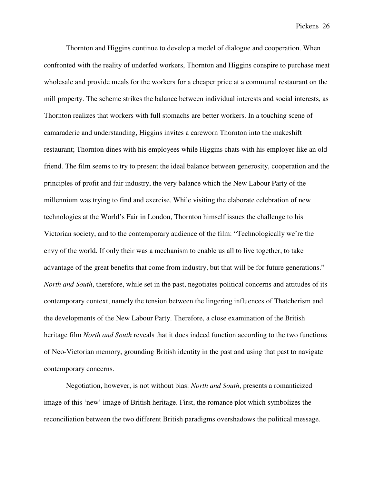Thornton and Higgins continue to develop a model of dialogue and cooperation. When confronted with the reality of underfed workers, Thornton and Higgins conspire to purchase meat wholesale and provide meals for the workers for a cheaper price at a communal restaurant on the mill property. The scheme strikes the balance between individual interests and social interests, as Thornton realizes that workers with full stomachs are better workers. In a touching scene of camaraderie and understanding, Higgins invites a careworn Thornton into the makeshift restaurant; Thornton dines with his employees while Higgins chats with his employer like an old friend. The film seems to try to present the ideal balance between generosity, cooperation and the principles of profit and fair industry, the very balance which the New Labour Party of the millennium was trying to find and exercise. While visiting the elaborate celebration of new technologies at the World's Fair in London, Thornton himself issues the challenge to his Victorian society, and to the contemporary audience of the film: "Technologically we're the envy of the world. If only their was a mechanism to enable us all to live together, to take advantage of the great benefits that come from industry, but that will be for future generations." *North and South*, therefore, while set in the past, negotiates political concerns and attitudes of its contemporary context, namely the tension between the lingering influences of Thatcherism and the developments of the New Labour Party. Therefore, a close examination of the British heritage film *North and South* reveals that it does indeed function according to the two functions of Neo-Victorian memory, grounding British identity in the past and using that past to navigate contemporary concerns.

 Negotiation, however, is not without bias: *North and South*, presents a romanticized image of this 'new' image of British heritage. First, the romance plot which symbolizes the reconciliation between the two different British paradigms overshadows the political message.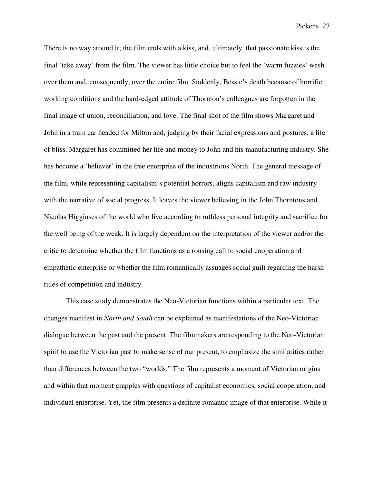There is no way around it; the film ends with a kiss, and, ultimately, that passionate kiss is the final 'take away' from the film. The viewer has little choice but to feel the 'warm fuzzies' wash over them and, consequently, over the entire film. Suddenly, Bessie's death because of horrific working conditions and the hard-edged attitude of Thornton's colleagues are forgotten in the final image of union, reconciliation, and love. The final shot of the film shows Margaret and John in a train car headed for Milton and, judging by their facial expressions and postures, a life of bliss. Margaret has committed her life and money to John and his manufacturing industry. She has become a 'believer' in the free enterprise of the industrious North. The general message of the film, while representing capitalism's potential horrors, aligns capitalism and raw industry with the narrative of social progress. It leaves the viewer believing in the John Thorntons and Nicolas Higginses of the world who live according to ruthless personal integrity and sacrifice for the well being of the weak. It is largely dependent on the interpretation of the viewer and/or the critic to determine whether the film functions as a rousing call to social cooperation and empathetic enterprise or whether the film romantically assuages social guilt regarding the harsh rules of competition and industry.

 This case study demonstrates the Neo-Victorian functions within a particular text. The changes manifest in *North and South* can be explained as manifestations of the Neo-Victorian dialogue between the past and the present. The filmmakers are responding to the Neo-Victorian spirit to use the Victorian past to make sense of our present, to emphasize the similarities rather than differences between the two "worlds." The film represents a moment of Victorian origins and within that moment grapples with questions of capitalist economics, social cooperation, and individual enterprise. Yet, the film presents a definite romantic image of that enterprise. While it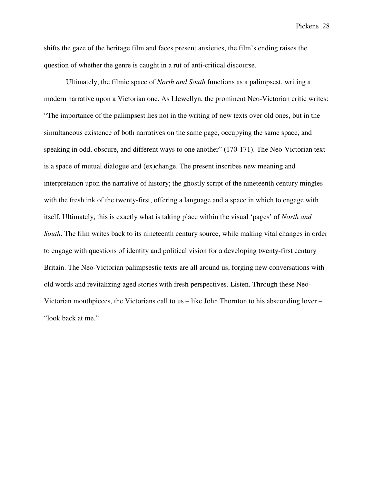shifts the gaze of the heritage film and faces present anxieties, the film's ending raises the question of whether the genre is caught in a rut of anti-critical discourse.

 Ultimately, the filmic space of *North and South* functions as a palimpsest, writing a modern narrative upon a Victorian one. As Llewellyn, the prominent Neo-Victorian critic writes: "The importance of the palimpsest lies not in the writing of new texts over old ones, but in the simultaneous existence of both narratives on the same page, occupying the same space, and speaking in odd, obscure, and different ways to one another" (170-171). The Neo-Victorian text is a space of mutual dialogue and (ex)change. The present inscribes new meaning and interpretation upon the narrative of history; the ghostly script of the nineteenth century mingles with the fresh ink of the twenty-first, offering a language and a space in which to engage with itself. Ultimately, this is exactly what is taking place within the visual 'pages' of *North and South*. The film writes back to its nineteenth century source, while making vital changes in order to engage with questions of identity and political vision for a developing twenty-first century Britain. The Neo-Victorian palimpsestic texts are all around us, forging new conversations with old words and revitalizing aged stories with fresh perspectives. Listen. Through these Neo-Victorian mouthpieces, the Victorians call to us – like John Thornton to his absconding lover – "look back at me."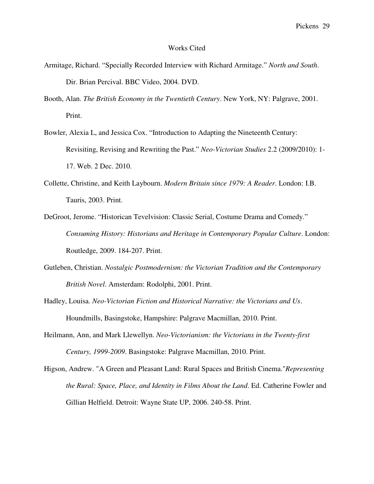#### Works Cited

- Armitage, Richard. "Specially Recorded Interview with Richard Armitage." *North and South*. Dir. Brian Percival. BBC Video, 2004. DVD.
- Booth, Alan. *The British Economy in the Twentieth Century*. New York, NY: Palgrave, 2001. Print.
- Bowler, Alexia L, and Jessica Cox. "Introduction to Adapting the Nineteenth Century: Revisiting, Revising and Rewriting the Past." *Neo-Victorian Studies* 2.2 (2009/2010): 1- 17. Web. 2 Dec. 2010.
- Collette, Christine, and Keith Laybourn. *Modern Britain since 1979: A Reader*. London: I.B. Tauris, 2003. Print.
- DeGroot, Jerome. "Historican Tevelvision: Classic Serial, Costume Drama and Comedy." *Consuming History: Historians and Heritage in Contemporary Popular Culture*. London: Routledge, 2009. 184-207. Print.
- Gutleben, Christian. *Nostalgic Postmodernism: the Victorian Tradition and the Contemporary British Novel*. Amsterdam: Rodolphi, 2001. Print.
- Hadley, Louisa. *Neo-Victorian Fiction and Historical Narrative: the Victorians and Us*. Houndmills, Basingstoke, Hampshire: Palgrave Macmillan, 2010. Print.
- Heilmann, Ann, and Mark Llewellyn. *Neo-Victorianism: the Victorians in the Twenty-first Century, 1999-2009*. Basingstoke: Palgrave Macmillan, 2010. Print.
- Higson, Andrew. "A Green and Pleasant Land: Rural Spaces and British Cinema."*Representing the Rural: Space, Place, and Identity in Films About the Land*. Ed. Catherine Fowler and Gillian Helfield. Detroit: Wayne State UP, 2006. 240-58. Print.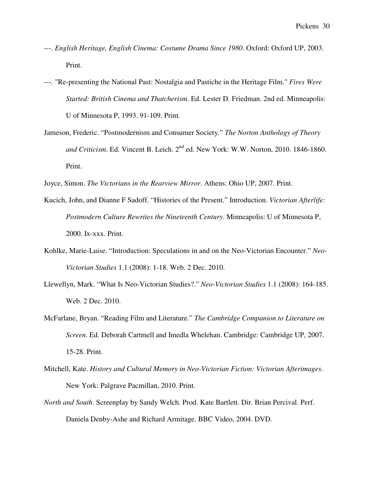- ---. *English Heritage, English Cinema: Costume Drama Since 1980*. Oxford: Oxford UP, 2003. Print.
- ---. "Re-presenting the National Past: Nostalgia and Pastiche in the Heritage Film." *Fires Were Started: British Cinema and Thatcherism*. Ed. Lester D. Friedman. 2nd ed. Minneapolis: U of Minnesota P, 1993. 91-109. Print.
- Jameson, Frederic. "Postmodernism and Consumer Society." *The Norton Anthology of Theory and Criticism*. Ed. Vincent B. Leich. 2nd ed. New York: W.W. Norton, 2010. 1846-1860. Print.
- Joyce, Simon. *The Victorians in the Rearview Mirror*. Athens: Ohio UP, 2007. Print.
- Kucich, John, and Dianne F Sadoff. "Histories of the Present." Introduction. *Victorian Afterlife: Postmodern Culture Rewrites the Nineteenth Century*. Minneapolis: U of Minnesota P, 2000. Ix-xxx. Print.
- Kohlke, Marie-Luise. "Introduction: Speculations in and on the Neo-Victorian Encounter." *Neo-Victorian Studies* 1.1 (2008): 1-18. Web. 2 Dec. 2010.
- Llewellyn, Mark. "What Is Neo-Victorian Studies?." *Neo-Victorian Studies* 1.1 (2008): 164-185. Web. 2 Dec. 2010.
- McFarlane, Bryan. "Reading Film and Literature." *The Cambridge Companion to Literature on Screen*. Ed. Deborah Cartmell and Imedla Whelehan. Cambridge: Cambridge UP, 2007. 15-28. Print.
- Mitchell, Kate. *History and Cultural Memory in Neo-Victorian Fiction: Victorian Afterimages*. New York: Palgrave Pacmillan, 2010. Print.
- *North and South*. Screenplay by Sandy Welch. Prod. Kate Bartlett. Dir. Brian Percival. Perf. Daniela Denby-Ashe and Richard Armitage. BBC Video, 2004. DVD.